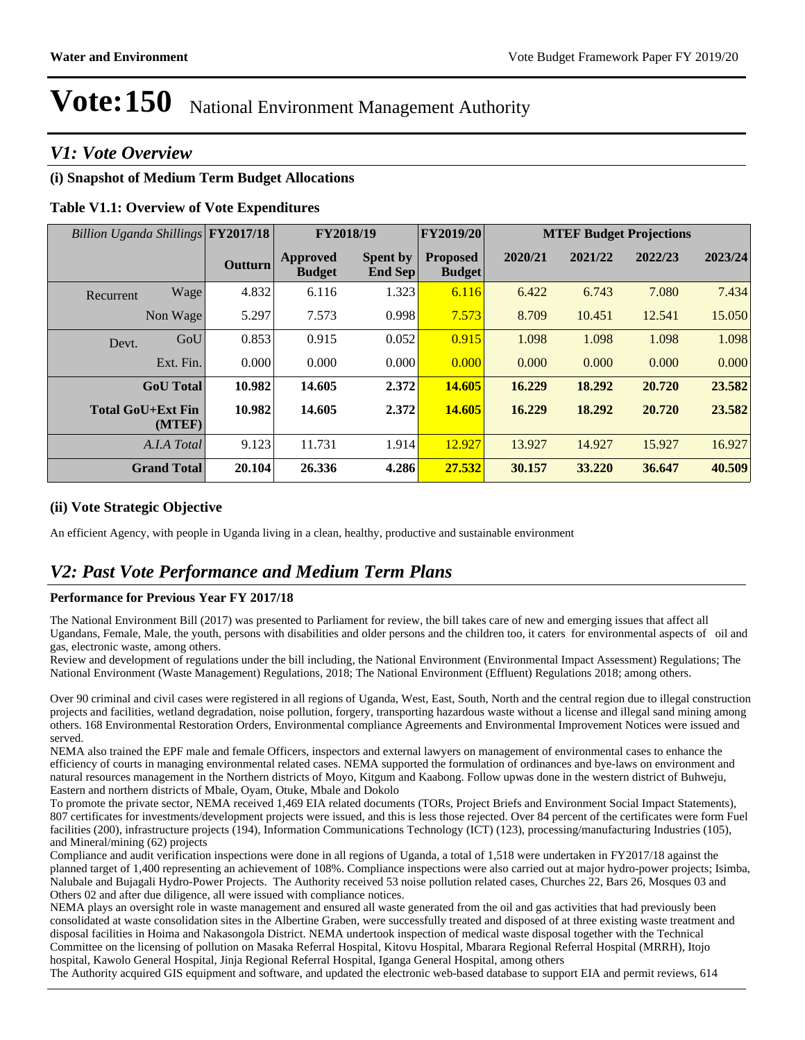# *V1: Vote Overview*

# **(i) Snapshot of Medium Term Budget Allocations**

# **Table V1.1: Overview of Vote Expenditures**

| Billion Uganda Shillings FY2017/18 |         |                                  | FY2018/19                         | FY2019/20                        |         | <b>MTEF Budget Projections</b> |         |         |
|------------------------------------|---------|----------------------------------|-----------------------------------|----------------------------------|---------|--------------------------------|---------|---------|
|                                    | Outturn | <b>Approved</b><br><b>Budget</b> | <b>Spent by</b><br><b>End Sep</b> | <b>Proposed</b><br><b>Budget</b> | 2020/21 | 2021/22                        | 2022/23 | 2023/24 |
| Wage<br>Recurrent                  | 4.832   | 6.116                            | 1.323                             | 6.116                            | 6.422   | 6.743                          | 7.080   | 7.434   |
| Non Wage                           | 5.297   | 7.573                            | 0.998                             | 7.573                            | 8.709   | 10.451                         | 12.541  | 15.050  |
| GoU<br>Devt.                       | 0.853   | 0.915                            | 0.052                             | 0.915                            | 1.098   | 1.098                          | 1.098   | 1.098   |
| Ext. Fin.                          | 0.000   | 0.000                            | 0.000                             | 0.000                            | 0.000   | 0.000                          | 0.000   | 0.000   |
| <b>GoU</b> Total                   | 10.982  | 14.605                           | 2.372                             | 14.605                           | 16.229  | 18.292                         | 20.720  | 23.582  |
| <b>Total GoU+Ext Fin</b><br>(MTEF) | 10.982  | 14.605                           | 2.372                             | 14.605                           | 16.229  | 18.292                         | 20.720  | 23.582  |
| A.I.A Total                        | 9.123   | 11.731                           | 1.914                             | 12.927                           | 13.927  | 14.927                         | 15.927  | 16.927  |
| <b>Grand Total</b>                 | 20.104  | 26.336                           | 4.286                             | 27.532                           | 30.157  | 33.220                         | 36.647  | 40.509  |

## **(ii) Vote Strategic Objective**

An efficient Agency, with people in Uganda living in a clean, healthy, productive and sustainable environment

# *V2: Past Vote Performance and Medium Term Plans*

#### **Performance for Previous Year FY 2017/18**

The National Environment Bill (2017) was presented to Parliament for review, the bill takes care of new and emerging issues that affect all Ugandans, Female, Male, the youth, persons with disabilities and older persons and the children too, it caters for environmental aspects of oil and gas, electronic waste, among others.

Review and development of regulations under the bill including, the National Environment (Environmental Impact Assessment) Regulations; The National Environment (Waste Management) Regulations, 2018; The National Environment (Effluent) Regulations 2018; among others.

Over 90 criminal and civil cases were registered in all regions of Uganda, West, East, South, North and the central region due to illegal construction projects and facilities, wetland degradation, noise pollution, forgery, transporting hazardous waste without a license and illegal sand mining among others. 168 Environmental Restoration Orders, Environmental compliance Agreements and Environmental Improvement Notices were issued and served.

NEMA also trained the EPF male and female Officers, inspectors and external lawyers on management of environmental cases to enhance the efficiency of courts in managing environmental related cases. NEMA supported the formulation of ordinances and bye-laws on environment and natural resources management in the Northern districts of Moyo, Kitgum and Kaabong. Follow upwas done in the western district of Buhweju, Eastern and northern districts of Mbale, Oyam, Otuke, Mbale and Dokolo

To promote the private sector, NEMA received 1,469 EIA related documents (TORs, Project Briefs and Environment Social Impact Statements), 807 certificates for investments/development projects were issued, and this is less those rejected. Over 84 percent of the certificates were form Fuel facilities (200), infrastructure projects (194), Information Communications Technology (ICT) (123), processing/manufacturing Industries (105), and Mineral/mining (62) projects

Compliance and audit verification inspections were done in all regions of Uganda, a total of 1,518 were undertaken in FY2017/18 against the planned target of 1,400 representing an achievement of 108%. Compliance inspections were also carried out at major hydro-power projects; Isimba, Nalubale and Bujagali Hydro-Power Projects. The Authority received 53 noise pollution related cases, Churches 22, Bars 26, Mosques 03 and Others 02 and after due diligence, all were issued with compliance notices.

NEMA plays an oversight role in waste management and ensured all waste generated from the oil and gas activities that had previously been consolidated at waste consolidation sites in the Albertine Graben, were successfully treated and disposed of at three existing waste treatment and disposal facilities in Hoima and Nakasongola District. NEMA undertook inspection of medical waste disposal together with the Technical Committee on the licensing of pollution on Masaka Referral Hospital, Kitovu Hospital, Mbarara Regional Referral Hospital (MRRH), Itojo hospital, Kawolo General Hospital, Jinja Regional Referral Hospital, Iganga General Hospital, among others

The Authority acquired GIS equipment and software, and updated the electronic web-based database to support EIA and permit reviews, 614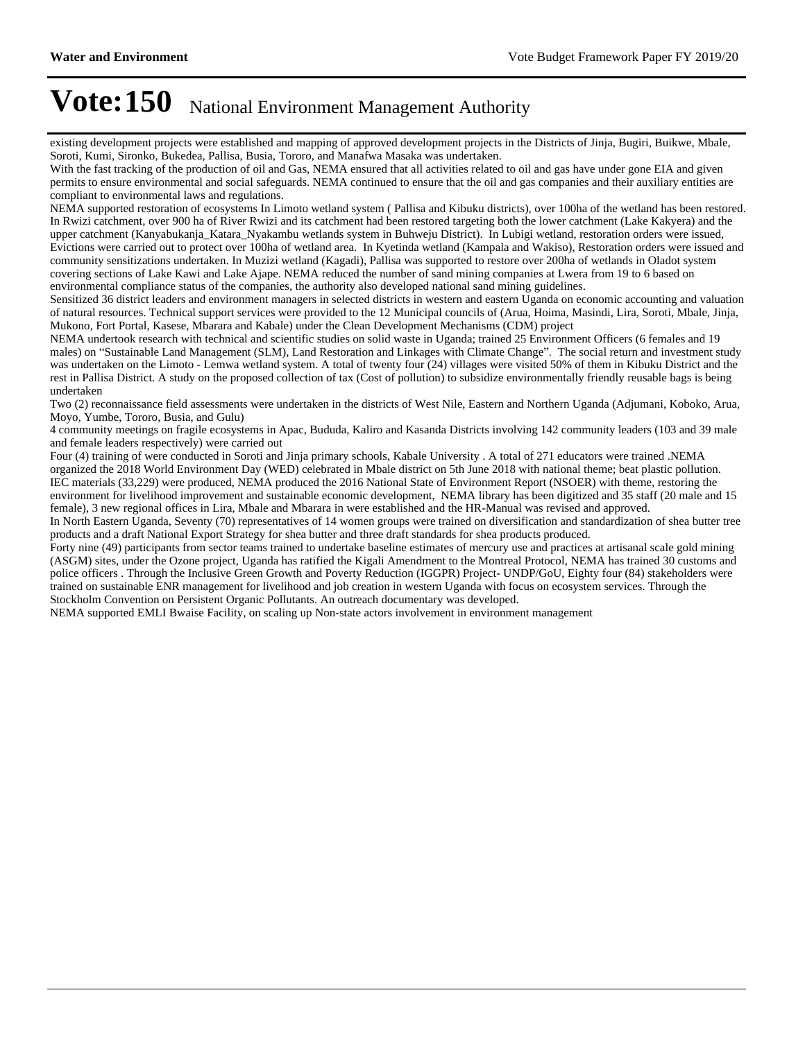existing development projects were established and mapping of approved development projects in the Districts of Jinja, Bugiri, Buikwe, Mbale, Soroti, Kumi, Sironko, Bukedea, Pallisa, Busia, Tororo, and Manafwa Masaka was undertaken.

With the fast tracking of the production of oil and Gas, NEMA ensured that all activities related to oil and gas have under gone EIA and given permits to ensure environmental and social safeguards. NEMA continued to ensure that the oil and gas companies and their auxiliary entities are compliant to environmental laws and regulations.

NEMA supported restoration of ecosystems In Limoto wetland system ( Pallisa and Kibuku districts), over 100ha of the wetland has been restored. In Rwizi catchment, over 900 ha of River Rwizi and its catchment had been restored targeting both the lower catchment (Lake Kakyera) and the upper catchment (Kanyabukanja\_Katara\_Nyakambu wetlands system in Buhweju District). In Lubigi wetland, restoration orders were issued, Evictions were carried out to protect over 100ha of wetland area. In Kyetinda wetland (Kampala and Wakiso), Restoration orders were issued and community sensitizations undertaken. In Muzizi wetland (Kagadi), Pallisa was supported to restore over 200ha of wetlands in Oladot system covering sections of Lake Kawi and Lake Ajape. NEMA reduced the number of sand mining companies at Lwera from 19 to 6 based on environmental compliance status of the companies, the authority also developed national sand mining guidelines.

Sensitized 36 district leaders and environment managers in selected districts in western and eastern Uganda on economic accounting and valuation of natural resources. Technical support services were provided to the 12 Municipal councils of (Arua, Hoima, Masindi, Lira, Soroti, Mbale, Jinja, Mukono, Fort Portal, Kasese, Mbarara and Kabale) under the Clean Development Mechanisms (CDM) project

NEMA undertook research with technical and scientific studies on solid waste in Uganda; trained 25 Environment Officers (6 females and 19 males) on "Sustainable Land Management (SLM), Land Restoration and Linkages with Climate Change". The social return and investment study was undertaken on the Limoto - Lemwa wetland system. A total of twenty four (24) villages were visited 50% of them in Kibuku District and the rest in Pallisa District. A study on the proposed collection of tax (Cost of pollution) to subsidize environmentally friendly reusable bags is being undertaken

Two (2) reconnaissance field assessments were undertaken in the districts of West Nile, Eastern and Northern Uganda (Adjumani, Koboko, Arua, Moyo, Yumbe, Tororo, Busia, and Gulu)

4 community meetings on fragile ecosystems in Apac, Bududa, Kaliro and Kasanda Districts involving 142 community leaders (103 and 39 male and female leaders respectively) were carried out

Four (4) training of were conducted in Soroti and Jinja primary schools, Kabale University . A total of 271 educators were trained .NEMA organized the 2018 World Environment Day (WED) celebrated in Mbale district on 5th June 2018 with national theme; beat plastic pollution. IEC materials (33,229) were produced, NEMA produced the 2016 National State of Environment Report (NSOER) with theme, restoring the environment for livelihood improvement and sustainable economic development, NEMA library has been digitized and 35 staff (20 male and 15 female), 3 new regional offices in Lira, Mbale and Mbarara in were established and the HR-Manual was revised and approved.

In North Eastern Uganda, Seventy (70) representatives of 14 women groups were trained on diversification and standardization of shea butter tree products and a draft National Export Strategy for shea butter and three draft standards for shea products produced.

Forty nine (49) participants from sector teams trained to undertake baseline estimates of mercury use and practices at artisanal scale gold mining (ASGM) sites, under the Ozone project, Uganda has ratified the Kigali Amendment to the Montreal Protocol, NEMA has trained 30 customs and police officers . Through the Inclusive Green Growth and Poverty Reduction (IGGPR) Project- UNDP/GoU, Eighty four (84) stakeholders were trained on sustainable ENR management for livelihood and job creation in western Uganda with focus on ecosystem services. Through the Stockholm Convention on Persistent Organic Pollutants. An outreach documentary was developed.

NEMA supported EMLI Bwaise Facility, on scaling up Non-state actors involvement in environment management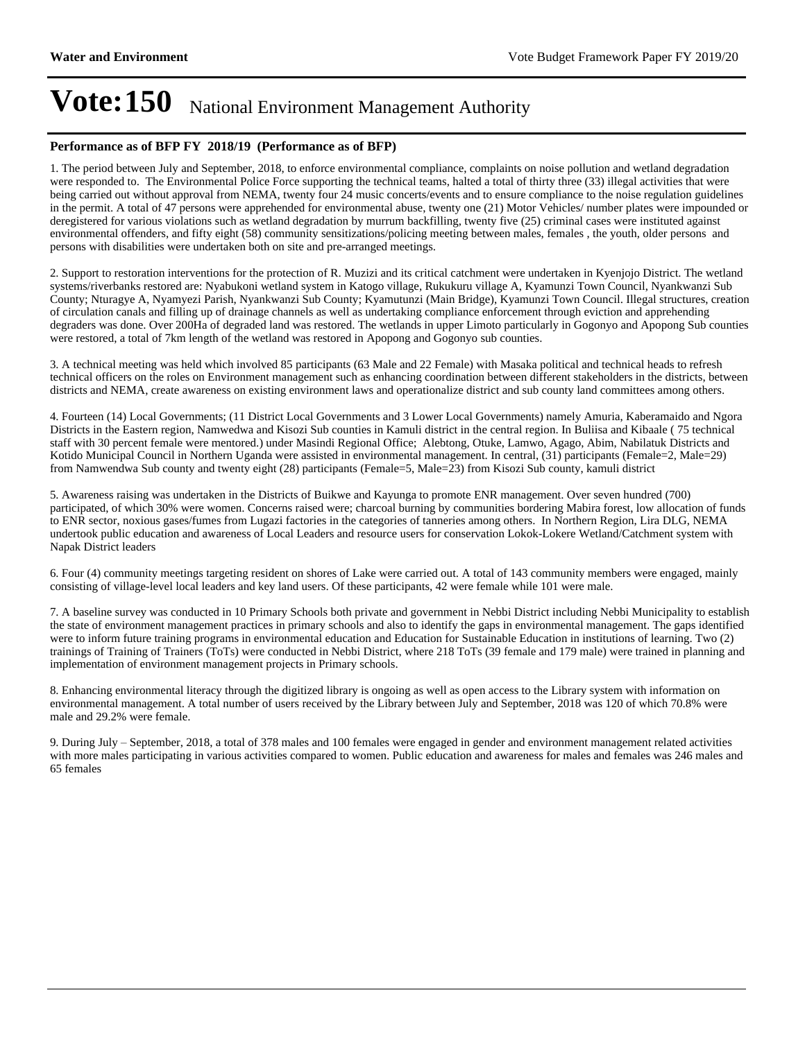#### **Performance as of BFP FY 2018/19 (Performance as of BFP)**

1. The period between July and September, 2018, to enforce environmental compliance, complaints on noise pollution and wetland degradation were responded to. The Environmental Police Force supporting the technical teams, halted a total of thirty three (33) illegal activities that were being carried out without approval from NEMA, twenty four 24 music concerts/events and to ensure compliance to the noise regulation guidelines in the permit. A total of 47 persons were apprehended for environmental abuse, twenty one (21) Motor Vehicles/ number plates were impounded or deregistered for various violations such as wetland degradation by murrum backfilling, twenty five (25) criminal cases were instituted against environmental offenders, and fifty eight (58) community sensitizations/policing meeting between males, females , the youth, older persons and persons with disabilities were undertaken both on site and pre-arranged meetings.

2. Support to restoration interventions for the protection of R. Muzizi and its critical catchment were undertaken in Kyenjojo District. The wetland systems/riverbanks restored are: Nyabukoni wetland system in Katogo village, Rukukuru village A, Kyamunzi Town Council, Nyankwanzi Sub County; Nturagye A, Nyamyezi Parish, Nyankwanzi Sub County; Kyamutunzi (Main Bridge), Kyamunzi Town Council. Illegal structures, creation of circulation canals and filling up of drainage channels as well as undertaking compliance enforcement through eviction and apprehending degraders was done. Over 200Ha of degraded land was restored. The wetlands in upper Limoto particularly in Gogonyo and Apopong Sub counties were restored, a total of 7km length of the wetland was restored in Apopong and Gogonyo sub counties.

3. A technical meeting was held which involved 85 participants (63 Male and 22 Female) with Masaka political and technical heads to refresh technical officers on the roles on Environment management such as enhancing coordination between different stakeholders in the districts, between districts and NEMA, create awareness on existing environment laws and operationalize district and sub county land committees among others.

4. Fourteen (14) Local Governments; (11 District Local Governments and 3 Lower Local Governments) namely Amuria, Kaberamaido and Ngora Districts in the Eastern region, Namwedwa and Kisozi Sub counties in Kamuli district in the central region. In Buliisa and Kibaale ( 75 technical staff with 30 percent female were mentored.) under Masindi Regional Office; Alebtong, Otuke, Lamwo, Agago, Abim, Nabilatuk Districts and Kotido Municipal Council in Northern Uganda were assisted in environmental management. In central, (31) participants (Female=2, Male=29) from Namwendwa Sub county and twenty eight (28) participants (Female=5, Male=23) from Kisozi Sub county, kamuli district

5. Awareness raising was undertaken in the Districts of Buikwe and Kayunga to promote ENR management. Over seven hundred (700) participated, of which 30% were women. Concerns raised were; charcoal burning by communities bordering Mabira forest, low allocation of funds to ENR sector, noxious gases/fumes from Lugazi factories in the categories of tanneries among others. In Northern Region, Lira DLG, NEMA undertook public education and awareness of Local Leaders and resource users for conservation Lokok-Lokere Wetland/Catchment system with Napak District leaders

6. Four (4) community meetings targeting resident on shores of Lake were carried out. A total of 143 community members were engaged, mainly consisting of village-level local leaders and key land users. Of these participants, 42 were female while 101 were male.

7. A baseline survey was conducted in 10 Primary Schools both private and government in Nebbi District including Nebbi Municipality to establish the state of environment management practices in primary schools and also to identify the gaps in environmental management. The gaps identified were to inform future training programs in environmental education and Education for Sustainable Education in institutions of learning. Two (2) trainings of Training of Trainers (ToTs) were conducted in Nebbi District, where 218 ToTs (39 female and 179 male) were trained in planning and implementation of environment management projects in Primary schools.

8. Enhancing environmental literacy through the digitized library is ongoing as well as open access to the Library system with information on environmental management. A total number of users received by the Library between July and September, 2018 was 120 of which 70.8% were male and 29.2% were female.

9. During July – September, 2018, a total of 378 males and 100 females were engaged in gender and environment management related activities with more males participating in various activities compared to women. Public education and awareness for males and females was 246 males and 65 females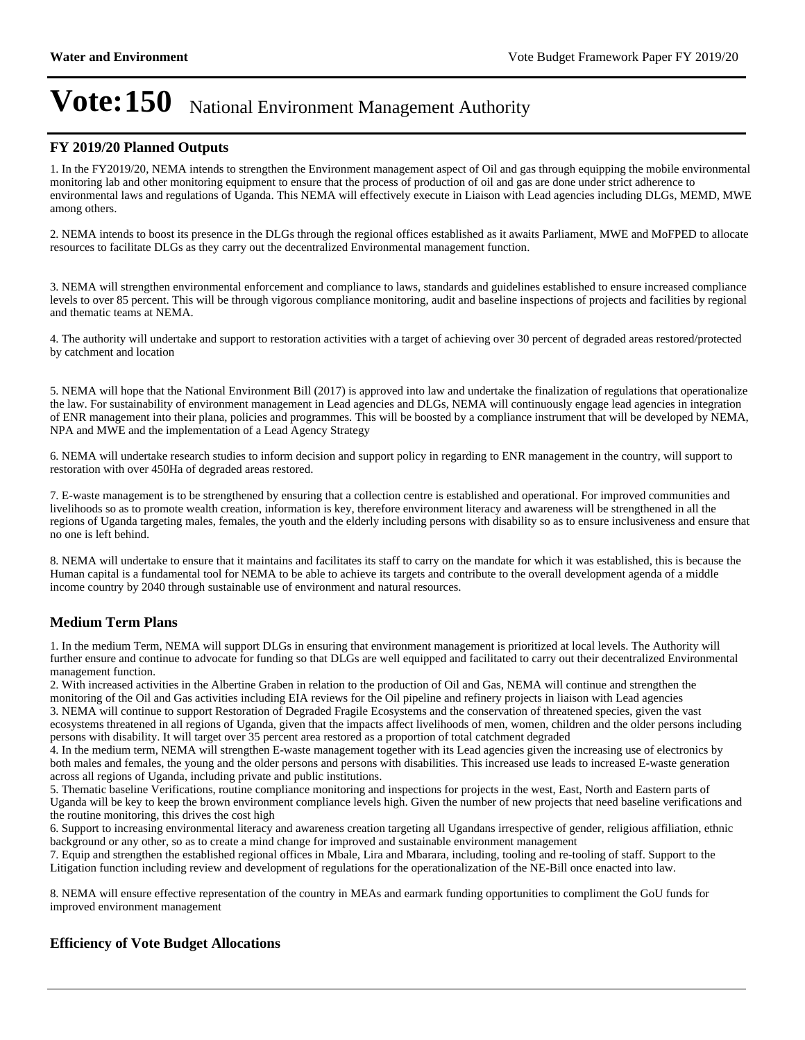#### **FY 2019/20 Planned Outputs**

1. In the FY2019/20, NEMA intends to strengthen the Environment management aspect of Oil and gas through equipping the mobile environmental monitoring lab and other monitoring equipment to ensure that the process of production of oil and gas are done under strict adherence to environmental laws and regulations of Uganda. This NEMA will effectively execute in Liaison with Lead agencies including DLGs, MEMD, MWE among others.

2. NEMA intends to boost its presence in the DLGs through the regional offices established as it awaits Parliament, MWE and MoFPED to allocate resources to facilitate DLGs as they carry out the decentralized Environmental management function.

3. NEMA will strengthen environmental enforcement and compliance to laws, standards and guidelines established to ensure increased compliance levels to over 85 percent. This will be through vigorous compliance monitoring, audit and baseline inspections of projects and facilities by regional and thematic teams at NEMA.

4. The authority will undertake and support to restoration activities with a target of achieving over 30 percent of degraded areas restored/protected by catchment and location

5. NEMA will hope that the National Environment Bill (2017) is approved into law and undertake the finalization of regulations that operationalize the law. For sustainability of environment management in Lead agencies and DLGs, NEMA will continuously engage lead agencies in integration of ENR management into their plana, policies and programmes. This will be boosted by a compliance instrument that will be developed by NEMA, NPA and MWE and the implementation of a Lead Agency Strategy

6. NEMA will undertake research studies to inform decision and support policy in regarding to ENR management in the country, will support to restoration with over 450Ha of degraded areas restored.

7. E-waste management is to be strengthened by ensuring that a collection centre is established and operational. For improved communities and livelihoods so as to promote wealth creation, information is key, therefore environment literacy and awareness will be strengthened in all the regions of Uganda targeting males, females, the youth and the elderly including persons with disability so as to ensure inclusiveness and ensure that no one is left behind.

8. NEMA will undertake to ensure that it maintains and facilitates its staff to carry on the mandate for which it was established, this is because the Human capital is a fundamental tool for NEMA to be able to achieve its targets and contribute to the overall development agenda of a middle income country by 2040 through sustainable use of environment and natural resources.

## **Medium Term Plans**

1. In the medium Term, NEMA will support DLGs in ensuring that environment management is prioritized at local levels. The Authority will further ensure and continue to advocate for funding so that DLGs are well equipped and facilitated to carry out their decentralized Environmental management function.

2. With increased activities in the Albertine Graben in relation to the production of Oil and Gas, NEMA will continue and strengthen the monitoring of the Oil and Gas activities including EIA reviews for the Oil pipeline and refinery projects in liaison with Lead agencies 3. NEMA will continue to support Restoration of Degraded Fragile Ecosystems and the conservation of threatened species, given the vast ecosystems threatened in all regions of Uganda, given that the impacts affect livelihoods of men, women, children and the older persons including persons with disability. It will target over 35 percent area restored as a proportion of total catchment degraded

4. In the medium term, NEMA will strengthen E-waste management together with its Lead agencies given the increasing use of electronics by both males and females, the young and the older persons and persons with disabilities. This increased use leads to increased E-waste generation across all regions of Uganda, including private and public institutions.

5. Thematic baseline Verifications, routine compliance monitoring and inspections for projects in the west, East, North and Eastern parts of Uganda will be key to keep the brown environment compliance levels high. Given the number of new projects that need baseline verifications and the routine monitoring, this drives the cost high

6. Support to increasing environmental literacy and awareness creation targeting all Ugandans irrespective of gender, religious affiliation, ethnic background or any other, so as to create a mind change for improved and sustainable environment management

7. Equip and strengthen the established regional offices in Mbale, Lira and Mbarara, including, tooling and re-tooling of staff. Support to the Litigation function including review and development of regulations for the operationalization of the NE-Bill once enacted into law.

8. NEMA will ensure effective representation of the country in MEAs and earmark funding opportunities to compliment the GoU funds for improved environment management

## **Efficiency of Vote Budget Allocations**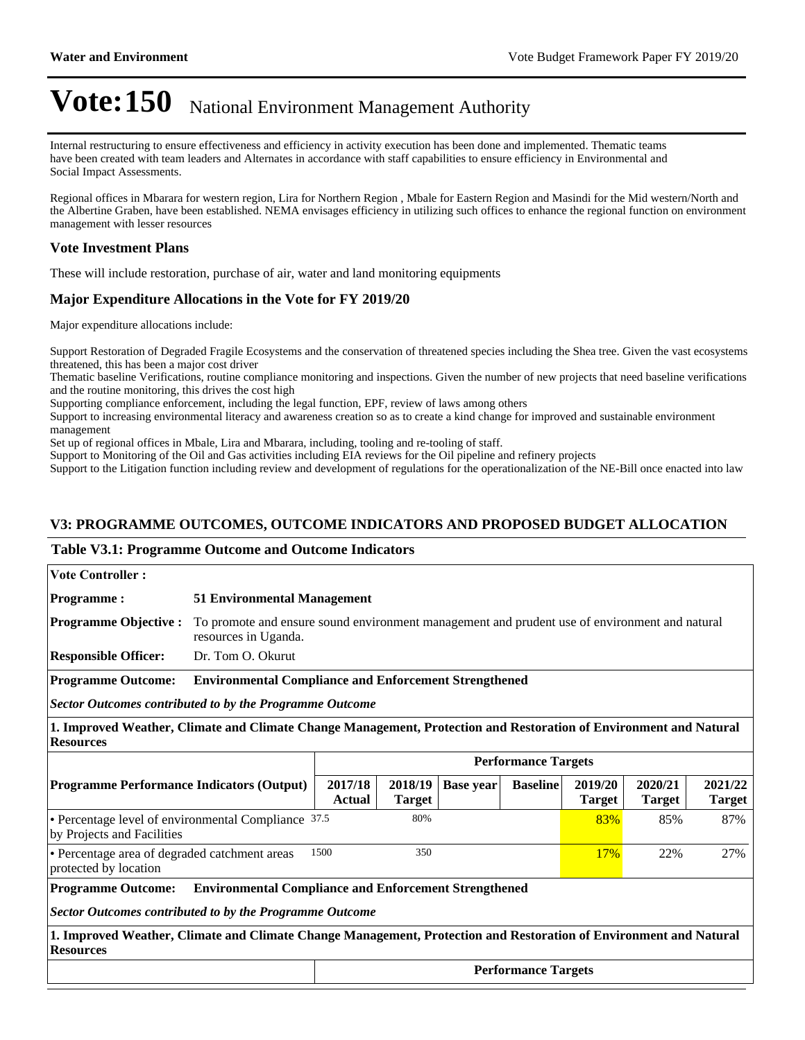Internal restructuring to ensure effectiveness and efficiency in activity execution has been done and implemented. Thematic teams have been created with team leaders and Alternates in accordance with staff capabilities to ensure efficiency in Environmental and Social Impact Assessments.

Regional offices in Mbarara for western region, Lira for Northern Region , Mbale for Eastern Region and Masindi for the Mid western/North and the Albertine Graben, have been established. NEMA envisages efficiency in utilizing such offices to enhance the regional function on environment management with lesser resources

## **Vote Investment Plans**

These will include restoration, purchase of air, water and land monitoring equipments

# **Major Expenditure Allocations in the Vote for FY 2019/20**

Major expenditure allocations include:

Support Restoration of Degraded Fragile Ecosystems and the conservation of threatened species including the Shea tree. Given the vast ecosystems threatened, this has been a major cost driver

Thematic baseline Verifications, routine compliance monitoring and inspections. Given the number of new projects that need baseline verifications and the routine monitoring, this drives the cost high

Supporting compliance enforcement, including the legal function, EPF, review of laws among others

Support to increasing environmental literacy and awareness creation so as to create a kind change for improved and sustainable environment management

Set up of regional offices in Mbale, Lira and Mbarara, including, tooling and re-tooling of staff.

Support to Monitoring of the Oil and Gas activities including EIA reviews for the Oil pipeline and refinery projects

Support to the Litigation function including review and development of regulations for the operationalization of the NE-Bill once enacted into law

# **V3: PROGRAMME OUTCOMES, OUTCOME INDICATORS AND PROPOSED BUDGET ALLOCATION**

#### **Table V3.1: Programme Outcome and Outcome Indicators**

| <b>Vote Controller:</b>                                                                                                                                     |                                                                            |                                                                                               |                          |                  |                            |                          |                          |                          |
|-------------------------------------------------------------------------------------------------------------------------------------------------------------|----------------------------------------------------------------------------|-----------------------------------------------------------------------------------------------|--------------------------|------------------|----------------------------|--------------------------|--------------------------|--------------------------|
| <b>Programme:</b>                                                                                                                                           |                                                                            | <b>51 Environmental Management</b>                                                            |                          |                  |                            |                          |                          |                          |
| <b>Programme Objective:</b>                                                                                                                                 | resources in Uganda.                                                       | To promote and ensure sound environment management and prudent use of environment and natural |                          |                  |                            |                          |                          |                          |
| <b>Responsible Officer:</b>                                                                                                                                 | Dr. Tom O. Okurut                                                          |                                                                                               |                          |                  |                            |                          |                          |                          |
| <b>Programme Outcome:</b>                                                                                                                                   | <b>Environmental Compliance and Enforcement Strengthened</b>               |                                                                                               |                          |                  |                            |                          |                          |                          |
| <b>Sector Outcomes contributed to by the Programme Outcome</b>                                                                                              |                                                                            |                                                                                               |                          |                  |                            |                          |                          |                          |
| 1. Improved Weather, Climate and Climate Change Management, Protection and Restoration of Environment and Natural<br><b>Resources</b>                       |                                                                            |                                                                                               |                          |                  |                            |                          |                          |                          |
|                                                                                                                                                             |                                                                            |                                                                                               |                          |                  | <b>Performance Targets</b> |                          |                          |                          |
| <b>Programme Performance Indicators (Output)</b>                                                                                                            |                                                                            | 2017/18<br>Actual                                                                             | 2018/19<br><b>Target</b> | <b>Base year</b> | <b>Baseline</b>            | 2019/20<br><b>Target</b> | 2020/21<br><b>Target</b> | 2021/22<br><b>Target</b> |
| • Percentage level of environmental Compliance 37.5<br>80%<br>by Projects and Facilities                                                                    |                                                                            |                                                                                               |                          |                  | 83%                        | 85%                      | 87%                      |                          |
| protected by location                                                                                                                                       | 1500<br>350<br>• Percentage area of degraded catchment areas<br>17%<br>22% |                                                                                               |                          |                  |                            | 27%                      |                          |                          |
| <b>Environmental Compliance and Enforcement Strengthened</b><br><b>Programme Outcome:</b><br><b>Sector Outcomes contributed to by the Programme Outcome</b> |                                                                            |                                                                                               |                          |                  |                            |                          |                          |                          |
| 1. Improved Weather, Climate and Climate Change Management, Protection and Restoration of Environment and Natural<br><b>Resources</b>                       |                                                                            |                                                                                               |                          |                  |                            |                          |                          |                          |
|                                                                                                                                                             | <b>Performance Targets</b>                                                 |                                                                                               |                          |                  |                            |                          |                          |                          |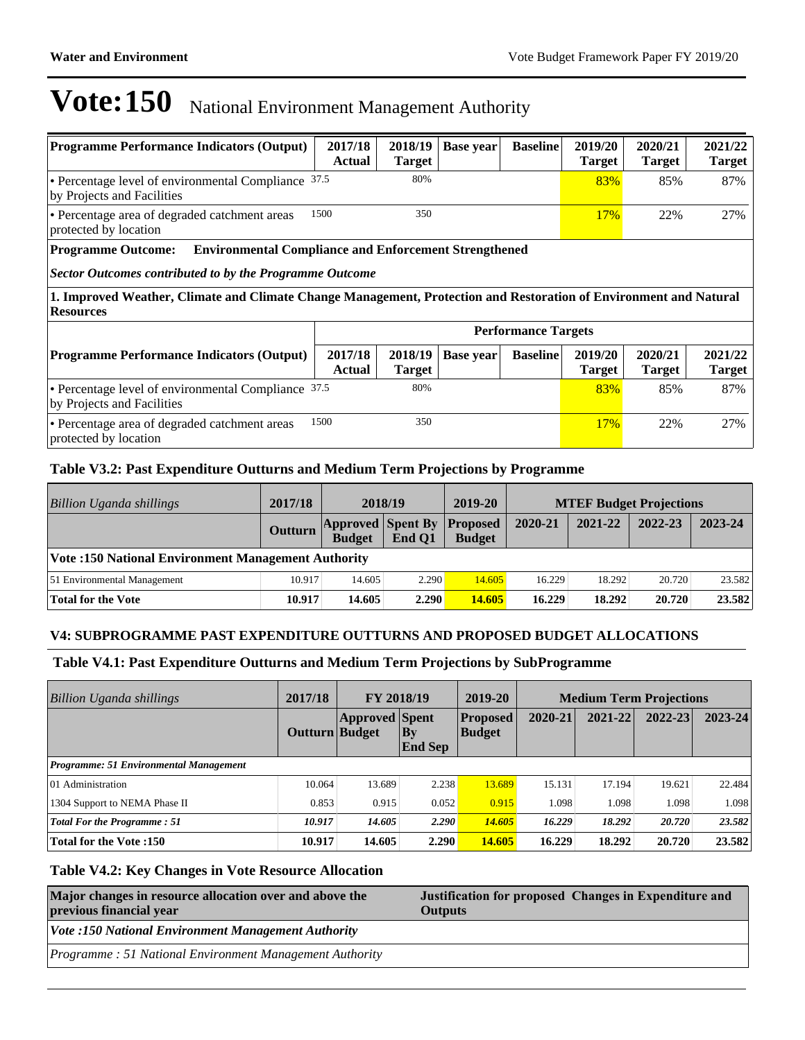| <b>Programme Performance Indicators (Output)</b>                                                                                                                                                                                                                                              | 2017/18<br><b>Actual</b> | 2018/19<br>Target | <b>Base year</b> | <b>Baseline</b>            | 2019/20<br><b>Target</b> | 2020/21<br><b>Target</b> | 2021/22<br><b>Target</b> |
|-----------------------------------------------------------------------------------------------------------------------------------------------------------------------------------------------------------------------------------------------------------------------------------------------|--------------------------|-------------------|------------------|----------------------------|--------------------------|--------------------------|--------------------------|
| 80%<br>• Percentage level of environmental Compliance 37.5<br>83%<br>85%<br>by Projects and Facilities                                                                                                                                                                                        |                          |                   |                  |                            |                          |                          | 87%                      |
| 1500<br>350<br>• Percentage area of degraded catchment areas<br>protected by location                                                                                                                                                                                                         |                          |                   |                  |                            |                          | 22%                      | 27%                      |
| <b>Programme Outcome:</b><br><b>Environmental Compliance and Enforcement Strengthened</b><br>Sector Outcomes contributed to by the Programme Outcome<br>1. Improved Weather, Climate and Climate Change Management, Protection and Restoration of Environment and Natural<br><b>Resources</b> |                          |                   |                  |                            |                          |                          |                          |
|                                                                                                                                                                                                                                                                                               |                          |                   |                  | <b>Performance Targets</b> |                          |                          |                          |
| 2017/18<br>2020/21<br>2018/19<br>2019/20<br><b>Programme Performance Indicators (Output)</b><br><b>Base year</b><br><b>Baseline</b><br><b>Actual</b><br><b>Target</b><br><b>Target</b><br><b>Target</b>                                                                                       |                          |                   |                  |                            |                          | 2021/22<br><b>Target</b> |                          |
| 80%<br>• Percentage level of environmental Compliance 37.5<br>83%<br>85%<br>by Projects and Facilities                                                                                                                                                                                        |                          |                   |                  |                            |                          | 87%                      |                          |
| • Percentage area of degraded catchment areas                                                                                                                                                                                                                                                 | 1500                     | 350               |                  |                            | 17%                      | 22%                      | 27%                      |

Percentage area of degraded catchment areas protected by location

# **Table V3.2: Past Expenditure Outturns and Medium Term Projections by Programme**

| Billion Uganda shillings                                  | 2017/18 |                                                    | 2018/19 | 2019-20       |         | <b>MTEF Budget Projections</b> |         |         |
|-----------------------------------------------------------|---------|----------------------------------------------------|---------|---------------|---------|--------------------------------|---------|---------|
|                                                           | Outturn | <b>Approved Spent By Proposed</b><br><b>Budget</b> | End O1  | <b>Budget</b> | 2020-21 | 2021-22                        | 2022-23 | 2023-24 |
| <b>Vote:150 National Environment Management Authority</b> |         |                                                    |         |               |         |                                |         |         |
| 51 Environmental Management                               | 10.917  | 14.605                                             | 2.290   | 14.605        | 16.229  | 18.292                         | 20.720  | 23.582  |
| Total for the Vote                                        | 10.917  | 14.605                                             | 2.290   | 14.605        | 16.229  | 18.292                         | 20.720  | 23.582  |

## **V4: SUBPROGRAMME PAST EXPENDITURE OUTTURNS AND PROPOSED BUDGET ALLOCATIONS**

## **Table V4.1: Past Expenditure Outturns and Medium Term Projections by SubProgramme**

| <b>Billion Uganda shillings</b>        | 2017/18        | FY 2018/19            |                             | 2019-20                          |         | <b>Medium Term Projections</b> |             |             |  |
|----------------------------------------|----------------|-----------------------|-----------------------------|----------------------------------|---------|--------------------------------|-------------|-------------|--|
|                                        | Outturn Budget | <b>Approved</b> Spent | $\bf{By}$<br><b>End Sep</b> | <b>Proposed</b><br><b>Budget</b> | 2020-21 | $2021 - 22$                    | $2022 - 23$ | $2023 - 24$ |  |
| Programme: 51 Environmental Management |                |                       |                             |                                  |         |                                |             |             |  |
| 01 Administration                      | 10.064         | 13.689                | 2.238                       | 13.689                           | 15.131  | 17.194                         | 19.621      | 22.484      |  |
| 1304 Support to NEMA Phase II          | 0.853          | 0.915                 | 0.052                       | 0.915                            | 1.098   | 1.098                          | 1.098       | 1.098       |  |
| <b>Total For the Programme: 51</b>     | 10.917         | 14.605                | 2.290                       | 14.605                           | 16.229  | 18.292                         | 20.720      | 23.582      |  |
| <b>Total for the Vote:150</b>          | 10.917         | 14.605                | 2.290                       | 14.605                           | 16.229  | 18.292                         | 20.720      | 23.582      |  |

## **Table V4.2: Key Changes in Vote Resource Allocation**

| Major changes in resource allocation over and above the<br>previous financial year | Justification for proposed Changes in Expenditure and<br><b>Outputs</b> |  |  |  |  |
|------------------------------------------------------------------------------------|-------------------------------------------------------------------------|--|--|--|--|
| <b>Vote :150 National Environment Management Authority</b>                         |                                                                         |  |  |  |  |
| Programme: 51 National Environment Management Authority                            |                                                                         |  |  |  |  |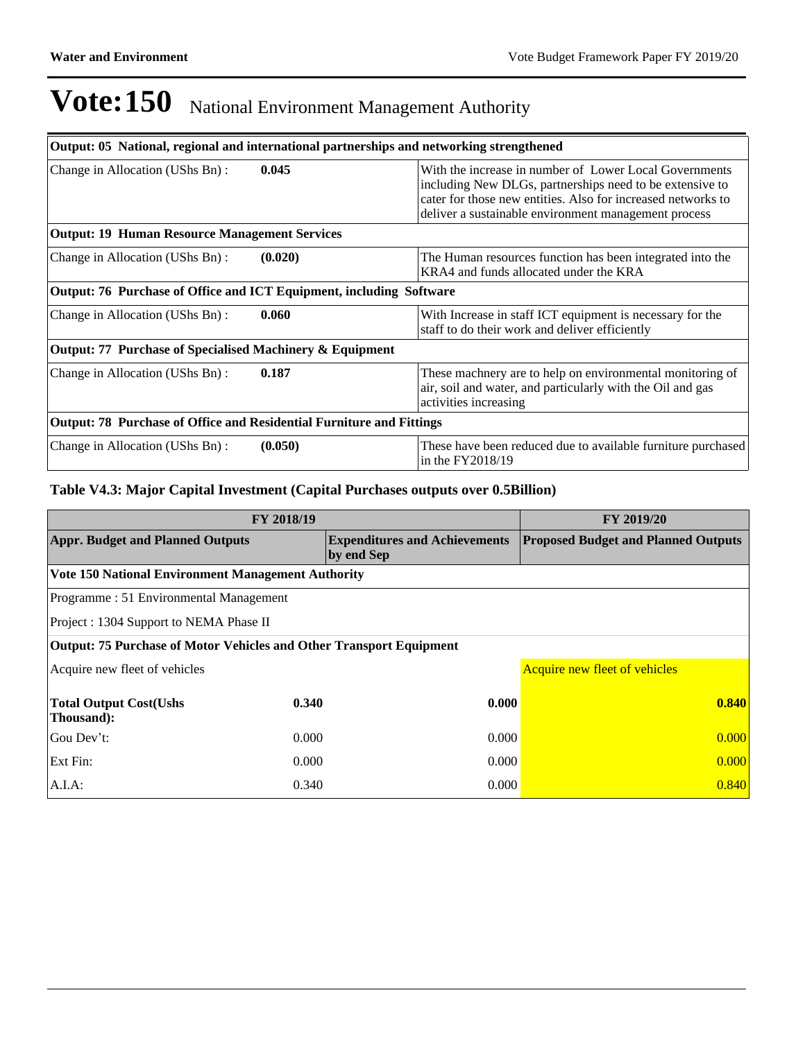| Output: 05 National, regional and international partnerships and networking strengthened |         |                                                                                                                                                                                                                                            |  |  |  |  |
|------------------------------------------------------------------------------------------|---------|--------------------------------------------------------------------------------------------------------------------------------------------------------------------------------------------------------------------------------------------|--|--|--|--|
| Change in Allocation (UShs Bn):                                                          | 0.045   | With the increase in number of Lower Local Governments<br>including New DLGs, partnerships need to be extensive to<br>cater for those new entities. Also for increased networks to<br>deliver a sustainable environment management process |  |  |  |  |
| <b>Output: 19 Human Resource Management Services</b>                                     |         |                                                                                                                                                                                                                                            |  |  |  |  |
| Change in Allocation (UShs Bn):                                                          | (0.020) | The Human resources function has been integrated into the<br>KRA4 and funds allocated under the KRA                                                                                                                                        |  |  |  |  |
| Output: 76 Purchase of Office and ICT Equipment, including Software                      |         |                                                                                                                                                                                                                                            |  |  |  |  |
| Change in Allocation (UShs Bn):                                                          | 0.060   | With Increase in staff ICT equipment is necessary for the<br>staff to do their work and deliver efficiently                                                                                                                                |  |  |  |  |
| Output: 77 Purchase of Specialised Machinery & Equipment                                 |         |                                                                                                                                                                                                                                            |  |  |  |  |
| Change in Allocation (UShs Bn):                                                          | 0.187   | These machnery are to help on environmental monitoring of<br>air, soil and water, and particularly with the Oil and gas<br>activities increasing                                                                                           |  |  |  |  |
| <b>Output: 78 Purchase of Office and Residential Furniture and Fittings</b>              |         |                                                                                                                                                                                                                                            |  |  |  |  |
| Change in Allocation (UShs Bn):                                                          | (0.050) | These have been reduced due to available furniture purchased<br>in the $FY2018/19$                                                                                                                                                         |  |  |  |  |

# **Table V4.3: Major Capital Investment (Capital Purchases outputs over 0.5Billion)**

| FY 2018/19                                                                 | FY 2019/20 |                                                    |                                            |  |  |
|----------------------------------------------------------------------------|------------|----------------------------------------------------|--------------------------------------------|--|--|
| <b>Appr. Budget and Planned Outputs</b>                                    |            | <b>Expenditures and Achievements</b><br>by end Sep | <b>Proposed Budget and Planned Outputs</b> |  |  |
| <b>Vote 150 National Environment Management Authority</b>                  |            |                                                    |                                            |  |  |
| Programme: 51 Environmental Management                                     |            |                                                    |                                            |  |  |
| Project : 1304 Support to NEMA Phase II                                    |            |                                                    |                                            |  |  |
| <b>Output: 75 Purchase of Motor Vehicles and Other Transport Equipment</b> |            |                                                    |                                            |  |  |
| Acquire new fleet of vehicles                                              |            |                                                    | Acquire new fleet of vehicles              |  |  |
| <b>Total Output Cost(Ushs</b><br>Thousand):                                | 0.340      | 0.000                                              | 0.840                                      |  |  |
| Gou Dev't:                                                                 | 0.000      | 0.000                                              | 0.000                                      |  |  |
| Ext Fin:                                                                   | 0.000      | 0.000                                              | 0.000                                      |  |  |
| $A.I.A$ :                                                                  | 0.340      | 0.000                                              | 0.840                                      |  |  |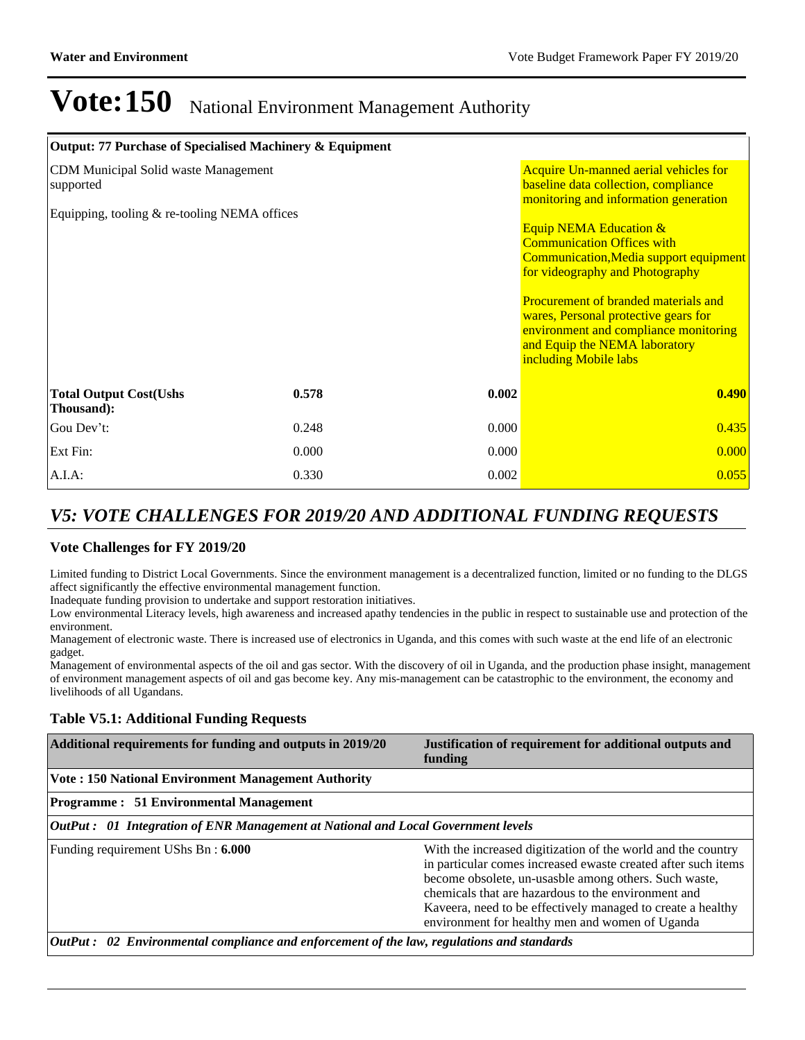| Output: 77 Purchase of Specialised Machinery & Equipment |                                                                                                                        |       |                                                                                                                                                                                                                                                                                                                                        |
|----------------------------------------------------------|------------------------------------------------------------------------------------------------------------------------|-------|----------------------------------------------------------------------------------------------------------------------------------------------------------------------------------------------------------------------------------------------------------------------------------------------------------------------------------------|
| CDM Municipal Solid waste Management<br>supported        | Acquire Un-manned aerial vehicles for<br>baseline data collection, compliance<br>monitoring and information generation |       |                                                                                                                                                                                                                                                                                                                                        |
| Equipping, tooling & re-tooling NEMA offices             |                                                                                                                        |       | <b>Equip NEMA Education &amp;</b><br><b>Communication Offices with</b><br>Communication, Media support equipment<br>for videography and Photography<br>Procurement of branded materials and<br>wares, Personal protective gears for<br>environment and compliance monitoring<br>and Equip the NEMA laboratory<br>including Mobile labs |
| <b>Total Output Cost(Ushs</b><br>Thousand):              | 0.578                                                                                                                  | 0.002 | 0.490                                                                                                                                                                                                                                                                                                                                  |
| Gou Dev't:                                               | 0.248                                                                                                                  | 0.000 | 0.435                                                                                                                                                                                                                                                                                                                                  |
| Ext Fin:                                                 | 0.000                                                                                                                  | 0.000 | 0.000                                                                                                                                                                                                                                                                                                                                  |
| A.I.A.                                                   | 0.330                                                                                                                  | 0.002 | 0.055                                                                                                                                                                                                                                                                                                                                  |

# *V5: VOTE CHALLENGES FOR 2019/20 AND ADDITIONAL FUNDING REQUESTS*

## **Vote Challenges for FY 2019/20**

Limited funding to District Local Governments. Since the environment management is a decentralized function, limited or no funding to the DLGS affect significantly the effective environmental management function.

Inadequate funding provision to undertake and support restoration initiatives.

Low environmental Literacy levels, high awareness and increased apathy tendencies in the public in respect to sustainable use and protection of the environment.

Management of electronic waste. There is increased use of electronics in Uganda, and this comes with such waste at the end life of an electronic gadget.

Management of environmental aspects of the oil and gas sector. With the discovery of oil in Uganda, and the production phase insight, management of environment management aspects of oil and gas become key. Any mis-management can be catastrophic to the environment, the economy and livelihoods of all Ugandans.

## **Table V5.1: Additional Funding Requests**

| Additional requirements for funding and outputs in 2019/20                                | Justification of requirement for additional outputs and<br>funding                                                                                                                                                                                                                                                                                              |  |  |  |  |  |
|-------------------------------------------------------------------------------------------|-----------------------------------------------------------------------------------------------------------------------------------------------------------------------------------------------------------------------------------------------------------------------------------------------------------------------------------------------------------------|--|--|--|--|--|
| <b>Vote: 150 National Environment Management Authority</b>                                |                                                                                                                                                                                                                                                                                                                                                                 |  |  |  |  |  |
| <b>Programme: 51 Environmental Management</b>                                             |                                                                                                                                                                                                                                                                                                                                                                 |  |  |  |  |  |
| OutPut: 01 Integration of ENR Management at National and Local Government levels          |                                                                                                                                                                                                                                                                                                                                                                 |  |  |  |  |  |
| Funding requirement UShs Bn: 6.000                                                        | With the increased digitization of the world and the country<br>in particular comes increased ewaste created after such items<br>become obsolete, un-usasble among others. Such waste,<br>chemicals that are hazardous to the environment and<br>Kaveera, need to be effectively managed to create a healthy<br>environment for healthy men and women of Uganda |  |  |  |  |  |
| OutPut: 02 Environmental compliance and enforcement of the law, regulations and standards |                                                                                                                                                                                                                                                                                                                                                                 |  |  |  |  |  |